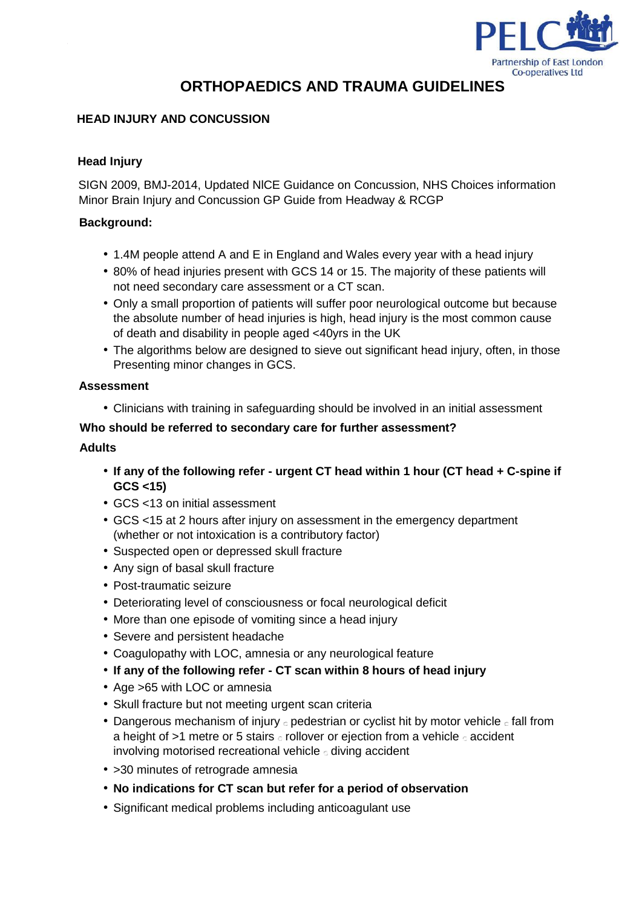

# **ORTHOPAEDICS AND TRAUMA GUIDELINES**

# **HEAD INJURY AND CONCUSSION**

# **Head Injury**

SIGN 2009, BMJ-2014, Updated NlCE Guidance on Concussion, NHS Choices information Minor Brain Injury and Concussion GP Guide from Headway & RCGP

# **Background:**

- 1.4M people attend A and E in England and Wales every year with a head injury
- 80% of head injuries present with GCS 14 or 15. The majority of these patients will not need secondary care assessment or a CT scan.
- Only a small proportion of patients will suffer poor neurological outcome but because the absolute number of head injuries is high, head injury is the most common cause of death and disability in people aged <40yrs in the UK
- The algorithms below are designed to sieve out significant head injury, often, in those Presenting minor changes in GCS.

# **Assessment**

• Clinicians with training in safeguarding should be involved in an initial assessment

#### **Who should be referred to secondary care for further assessment?**

#### **Adults**

- **If any of the following refer - urgent CT head within 1 hour (CT head + C-spine if GCS <15)**
- GCS <13 on initial assessment
- GCS <15 at 2 hours after injury on assessment in the emergency department (whether or not intoxication is a contributory factor)
- Suspected open or depressed skull fracture
- Any sign of basal skull fracture
- Post-traumatic seizure
- Deteriorating level of consciousness or focal neurological deficit
- More than one episode of vomiting since a head injury
- Severe and persistent headache
- Coagulopathy with LOC, amnesia or any neurological feature
- **If any of the following refer - CT scan within 8 hours of head injury**
- Age >65 with LOC or amnesia
- Skull fracture but not meeting urgent scan criteria
- Dangerous mechanism of injury  $\circ$  pedestrian or cyclist hit by motor vehicle  $\circ$  fall from a height of  $>1$  metre or 5 stairs  $\circ$  rollover or ejection from a vehicle  $\circ$  accident involving motorised recreational vehicle diving accident
- > 30 minutes of retrograde amnesia
- **No indications for CT scan but refer for a period of observation**
- Significant medical problems including anticoagulant use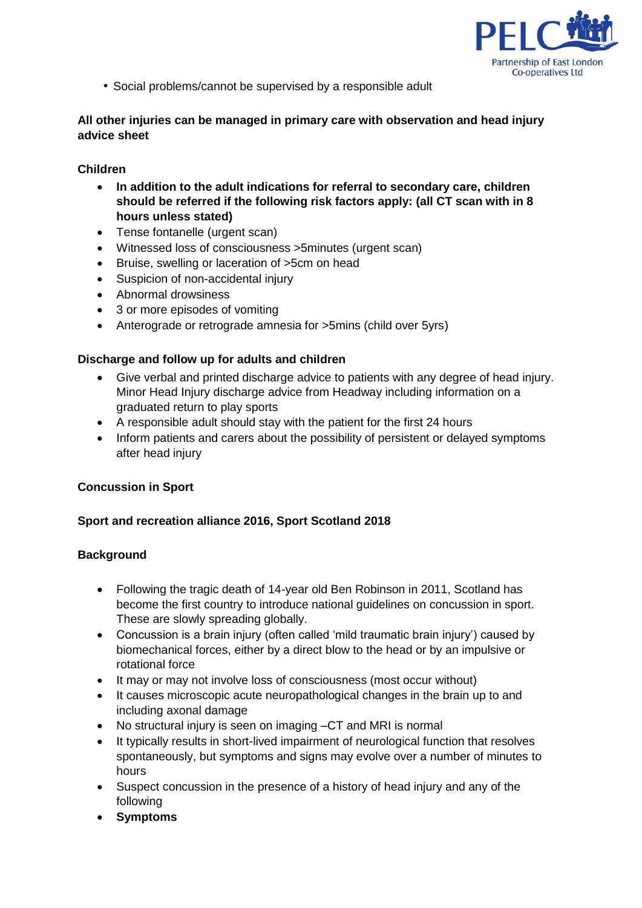

• Social problems/cannot be supervised by a responsible adult

# **All other injuries can be managed in primary care with observation and head injury advice sheet**

# **Children**

- **In addition to the adult indications for referral to secondary care, children should be referred if the following risk factors apply: (all CT scan with in 8 hours unless stated)**
- Tense fontanelle (urgent scan)
- Witnessed loss of consciousness >5minutes (urgent scan)
- Bruise, swelling or laceration of >5cm on head
- Suspicion of non-accidental injury
- Abnormal drowsiness
- 3 or more episodes of vomiting
- Anterograde or retrograde amnesia for >5mins (child over 5yrs)

# **Discharge and follow up for adults and children**

- Give verbal and printed discharge advice to patients with any degree of head injury. Minor Head Injury discharge advice from Headway including information on a graduated return to play sports
- A responsible adult should stay with the patient for the first 24 hours
- Inform patients and carers about the possibility of persistent or delayed symptoms after head injury

# **Concussion in Sport**

# **Sport and recreation alliance 2016, Sport Scotland 2018**

# **Background**

- Following the tragic death of 14-year old Ben Robinson in 2011, Scotland has become the first country to introduce national guidelines on concussion in sport. These are slowly spreading globally.
- Concussion is a brain injury (often called 'mild traumatic brain injury') caused by biomechanical forces, either by a direct blow to the head or by an impulsive or rotational force
- It may or may not involve loss of consciousness (most occur without)
- It causes microscopic acute neuropathological changes in the brain up to and including axonal damage
- No structural injury is seen on imaging –CT and MRI is normal
- It typically results in short-lived impairment of neurological function that resolves spontaneously, but symptoms and signs may evolve over a number of minutes to hours
- Suspect concussion in the presence of a history of head injury and any of the following
- **Symptoms**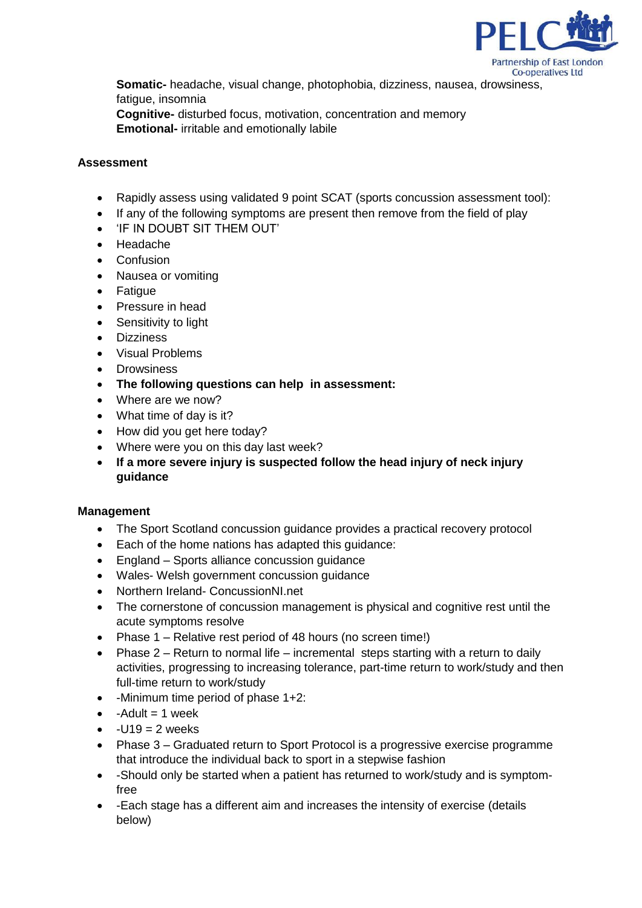

**Somatic-** headache, visual change, photophobia, dizziness, nausea, drowsiness, fatigue, insomnia **Cognitive-** disturbed focus, motivation, concentration and memory **Emotional-** irritable and emotionally labile

# **Assessment**

- Rapidly assess using validated 9 point SCAT (sports concussion assessment tool):
- If any of the following symptoms are present then remove from the field of play
- 'IF IN DOUBT SIT THEM OUT'
- Headache
- Confusion
- Nausea or vomiting
- Fatigue
- Pressure in head
- Sensitivity to light
- **•** Dizziness
- Visual Problems
- **Drowsiness**
- **The following questions can help in assessment:**
- Where are we now?
- What time of day is it?
- How did you get here today?
- Where were you on this day last week?
- **If a more severe injury is suspected follow the head injury of neck injury guidance**

# **Management**

- The Sport Scotland concussion guidance provides a practical recovery protocol
- Each of the home nations has adapted this guidance:
- England Sports alliance concussion guidance
- Wales- Welsh government concussion guidance
- Northern Ireland- ConcussionNI.net
- The cornerstone of concussion management is physical and cognitive rest until the acute symptoms resolve
- Phase 1 Relative rest period of 48 hours (no screen time!)
- Phase  $2 -$  Return to normal life incremental steps starting with a return to daily activities, progressing to increasing tolerance, part-time return to work/study and then full-time return to work/study
- $\bullet$  -Minimum time period of phase 1+2:
- $\bullet$  -Adult = 1 week
- $-U19 = 2$  weeks
- Phase 3 Graduated return to Sport Protocol is a progressive exercise programme that introduce the individual back to sport in a stepwise fashion
- -Should only be started when a patient has returned to work/study and is symptomfree
- -Each stage has a different aim and increases the intensity of exercise (details below)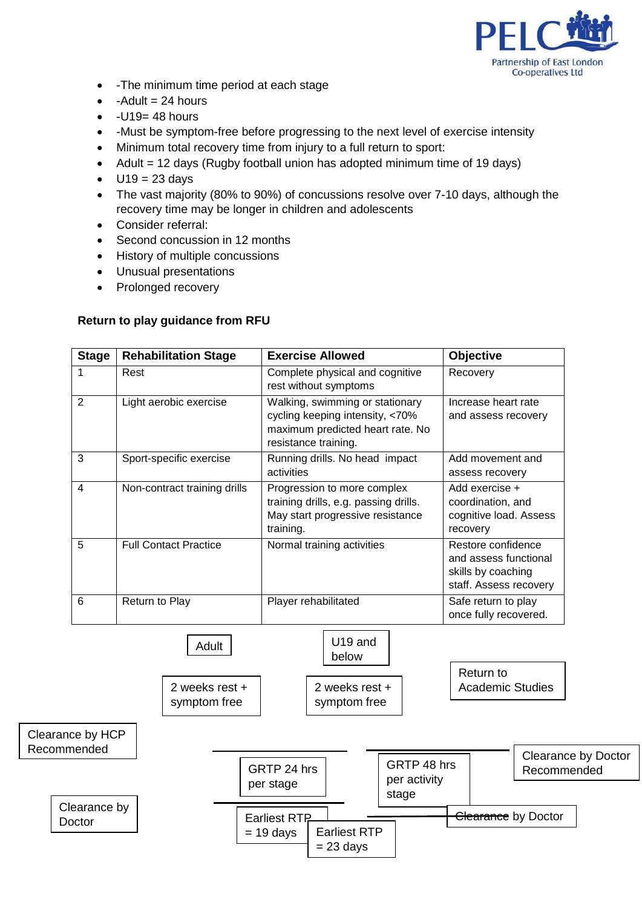

- -The minimum time period at each stage
- $\bullet$  -Adult = 24 hours
- $-U19= 48$  hours
- -Must be symptom-free before progressing to the next level of exercise intensity
- Minimum total recovery time from injury to a full return to sport:
- Adult = 12 days (Rugby football union has adopted minimum time of 19 days)
- $U19 = 23$  days
- The vast majority (80% to 90%) of concussions resolve over 7-10 days, although the recovery time may be longer in children and adolescents
- Consider referral:
- Second concussion in 12 months

symptom free

- History of multiple concussions
- Unusual presentations
- Prolonged recovery

# **Return to play guidance from RFU**

| <b>Stage</b>   | <b>Rehabilitation Stage</b>  | <b>Exercise Allowed</b>                                                                                                        | Objective                                                                                   |
|----------------|------------------------------|--------------------------------------------------------------------------------------------------------------------------------|---------------------------------------------------------------------------------------------|
| 1              | Rest                         | Complete physical and cognitive<br>rest without symptoms                                                                       | Recovery                                                                                    |
| $\overline{2}$ | Light aerobic exercise       | Walking, swimming or stationary<br>cycling keeping intensity, <70%<br>maximum predicted heart rate. No<br>resistance training. | Increase heart rate<br>and assess recovery                                                  |
| 3              | Sport-specific exercise      | Running drills. No head impact<br>activities                                                                                   | Add movement and<br>assess recovery                                                         |
| 4              | Non-contract training drills | Progression to more complex<br>training drills, e.g. passing drills.<br>May start progressive resistance<br>training.          | Add exercise +<br>coordination, and<br>cognitive load. Assess<br>recovery                   |
| 5              | <b>Full Contact Practice</b> | Normal training activities                                                                                                     | Restore confidence<br>and assess functional<br>skills by coaching<br>staff. Assess recovery |
| 6              | Return to Play               | Player rehabilitated                                                                                                           | Safe return to play<br>once fully recovered.                                                |
|                | Adult                        | U19 and<br>below                                                                                                               |                                                                                             |
|                | 2 weeks rest +               | 2 weeks rest +                                                                                                                 | Return to<br><b>Academic Studies</b>                                                        |



symptom free